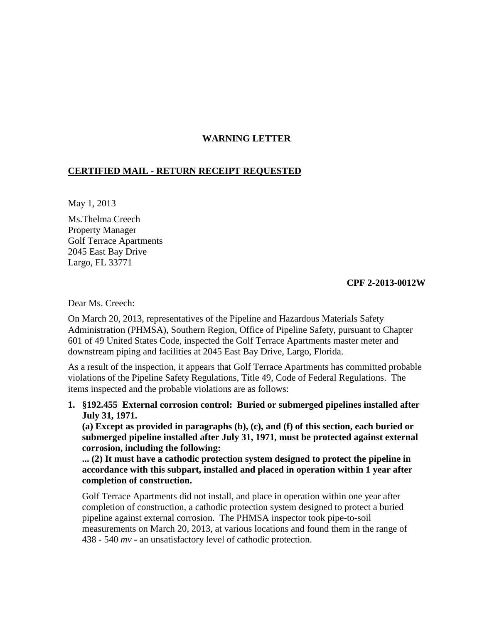## **WARNING LETTER**

## **CERTIFIED MAIL - RETURN RECEIPT REQUESTED**

May 1, 2013

Ms.Thelma Creech Property Manager Golf Terrace Apartments 2045 East Bay Drive Largo, FL 33771

## **CPF 2-2013-0012W**

Dear Ms. Creech:

On March 20, 2013, representatives of the Pipeline and Hazardous Materials Safety Administration (PHMSA), Southern Region, Office of Pipeline Safety, pursuant to Chapter 601 of 49 United States Code, inspected the Golf Terrace Apartments master meter and downstream piping and facilities at 2045 East Bay Drive, Largo, Florida.

As a result of the inspection, it appears that Golf Terrace Apartments has committed probable violations of the Pipeline Safety Regulations, Title 49, Code of Federal Regulations. The items inspected and the probable violations are as follows:

**1. §192.455 External corrosion control: Buried or submerged pipelines installed after July 31, 1971.**

**(a) Except as provided in paragraphs (b), (c), and (f) of this section, each buried or submerged pipeline installed after July 31, 1971, must be protected against external corrosion, including the following:** 

**... (2) It must have a cathodic protection system designed to protect the pipeline in accordance with this subpart, installed and placed in operation within 1 year after completion of construction.** 

Golf Terrace Apartments did not install, and place in operation within one year after completion of construction, a cathodic protection system designed to protect a buried pipeline against external corrosion. The PHMSA inspector took pipe-to-soil measurements on March 20, 2013, at various locations and found them in the range of 438 - 540 *mv* - an unsatisfactory level of cathodic protection.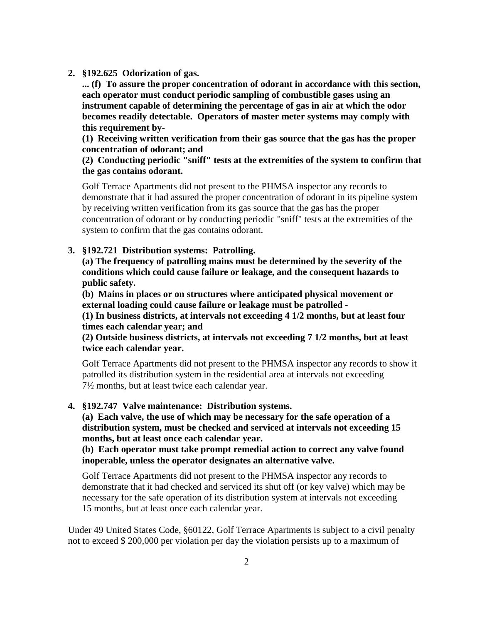**2. §192.625 Odorization of gas.**

**... (f) To assure the proper concentration of odorant in accordance with this section, each operator must conduct periodic sampling of combustible gases using an instrument capable of determining the percentage of gas in air at which the odor becomes readily detectable. Operators of master meter systems may comply with this requirement by-**

**(1) Receiving written verification from their gas source that the gas has the proper concentration of odorant; and** 

**(2) Conducting periodic "sniff" tests at the extremities of the system to confirm that the gas contains odorant.**

Golf Terrace Apartments did not present to the PHMSA inspector any records to demonstrate that it had assured the proper concentration of odorant in its pipeline system by receiving written verification from its gas source that the gas has the proper concentration of odorant or by conducting periodic "sniff" tests at the extremities of the system to confirm that the gas contains odorant.

## **3. §192.721 Distribution systems: Patrolling.**

**(a) The frequency of patrolling mains must be determined by the severity of the conditions which could cause failure or leakage, and the consequent hazards to public safety.**

**(b) Mains in places or on structures where anticipated physical movement or external loading could cause failure or leakage must be patrolled -** 

**(1) In business districts, at intervals not exceeding 4 1/2 months, but at least four times each calendar year; and** 

**(2) Outside business districts, at intervals not exceeding 7 1/2 months, but at least twice each calendar year.**

Golf Terrace Apartments did not present to the PHMSA inspector any records to show it patrolled its distribution system in the residential area at intervals not exceeding 7½ months, but at least twice each calendar year.

**4. §192.747 Valve maintenance: Distribution systems.** 

**(a) Each valve, the use of which may be necessary for the safe operation of a distribution system, must be checked and serviced at intervals not exceeding 15 months, but at least once each calendar year.**

**(b) Each operator must take prompt remedial action to correct any valve found inoperable, unless the operator designates an alternative valve.**

Golf Terrace Apartments did not present to the PHMSA inspector any records to demonstrate that it had checked and serviced its shut off (or key valve) which may be necessary for the safe operation of its distribution system at intervals not exceeding 15 months, but at least once each calendar year.

Under 49 United States Code, §60122, Golf Terrace Apartments is subject to a civil penalty not to exceed \$ 200,000 per violation per day the violation persists up to a maximum of